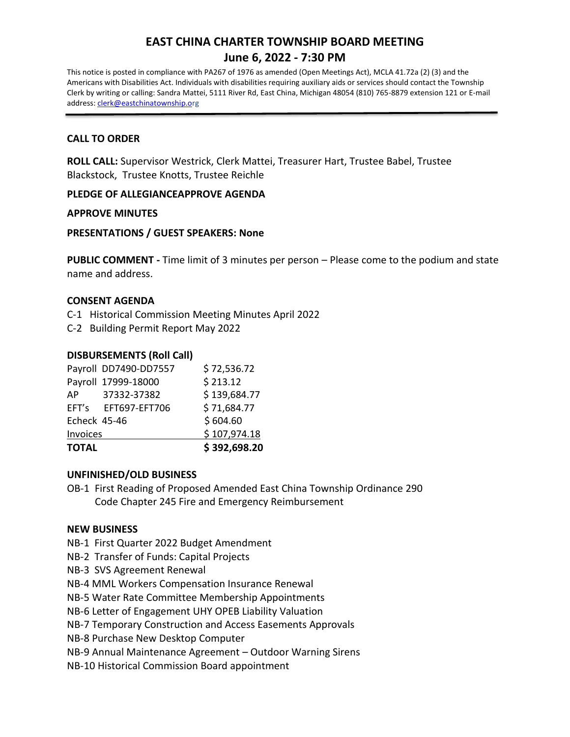# **EAST CHINA CHARTER TOWNSHIP BOARD MEETING June 6, 2022 - 7:30 PM**

This notice is posted in compliance with PA267 of 1976 as amended (Open Meetings Act), MCLA 41.72a (2) (3) and the Americans with Disabilities Act. Individuals with disabilities requiring auxiliary aids or services should contact the Township Clerk by writing or calling: Sandra Mattei, 5111 River Rd, East China, Michigan 48054 (810) 765-8879 extension 121 or E-mail address: [clerk@eastchinatownship.or](mailto:clerk@eastchinatownship.o)g

## **CALL TO ORDER**

**ROLL CALL:** Supervisor Westrick, Clerk Mattei, Treasurer Hart, Trustee Babel, Trustee Blackstock, Trustee Knotts, Trustee Reichle

## **PLEDGE OF ALLEGIANCEAPPROVE AGENDA**

## **APPROVE MINUTES**

## **PRESENTATIONS / GUEST SPEAKERS: None**

**PUBLIC COMMENT -** Time limit of 3 minutes per person – Please come to the podium and state name and address.

#### **CONSENT AGENDA**

C-1 Historical Commission Meeting Minutes April 2022

C-2 Building Permit Report May 2022

## **DISBURSEMENTS (Roll Call)**

| <b>TOTAL</b> |                       | \$392,698.20 |
|--------------|-----------------------|--------------|
| Invoices     |                       | \$107,974.18 |
| Echeck 45-46 |                       | \$604.60     |
|              | EFT's EFT697-EFT706   | \$71,684.77  |
| AP           | 37332-37382           | \$139,684.77 |
|              | Payroll 17999-18000   | \$213.12     |
|              | Payroll DD7490-DD7557 | \$72,536.72  |

#### **UNFINISHED/OLD BUSINESS**

OB-1 First Reading of Proposed Amended East China Township Ordinance 290 Code Chapter 245 Fire and Emergency Reimbursement

## **NEW BUSINESS**

- NB-1 First Quarter 2022 Budget Amendment
- NB-2 Transfer of Funds: Capital Projects
- NB-3 SVS Agreement Renewal
- NB-4 MML Workers Compensation Insurance Renewal
- NB-5 Water Rate Committee Membership Appointments
- NB-6 Letter of Engagement UHY OPEB Liability Valuation
- NB-7 Temporary Construction and Access Easements Approvals
- NB-8 Purchase New Desktop Computer
- NB-9 Annual Maintenance Agreement Outdoor Warning Sirens
- NB-10 Historical Commission Board appointment